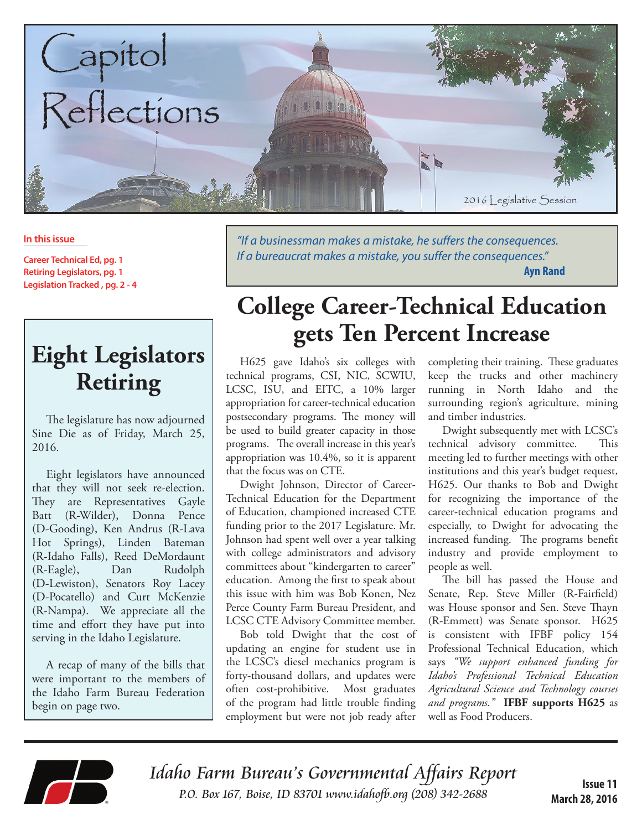

#### **In this issue**

**Career Technical Ed, pg. 1 Retiring Legislators, pg. 1 Legislation Tracked , pg. 2 - 4**

# **Eight Legislators Retiring**

The legislature has now adjourned Sine Die as of Friday, March 25, 2016.

Eight legislators have announced that they will not seek re-election. They are Representatives Gayle Batt (R-Wilder), Donna Pence (D-Gooding), Ken Andrus (R-Lava Hot Springs), Linden Bateman (R-Idaho Falls), Reed DeMordaunt (R-Eagle), Dan Rudolph (D-Lewiston), Senators Roy Lacey (D-Pocatello) and Curt McKenzie (R-Nampa). We appreciate all the time and effort they have put into serving in the Idaho Legislature.

A recap of many of the bills that were important to the members of the Idaho Farm Bureau Federation begin on page two.

*"If a businessman makes a mistake, he suffers the consequences.* If a bureaucrat makes a mistake, you suffer the consequences." **Ayn Rand**

# **College Career-Technical Education gets Ten Percent Increase**

H625 gave Idaho's six colleges with technical programs, CSI, NIC, SCWIU, LCSC, ISU, and EITC, a 10% larger appropriation for career-technical education postsecondary programs. The money will be used to build greater capacity in those programs. The overall increase in this year's appropriation was 10.4%, so it is apparent that the focus was on CTE.

Dwight Johnson, Director of Career-Technical Education for the Department of Education, championed increased CTE funding prior to the 2017 Legislature. Mr. Johnson had spent well over a year talking with college administrators and advisory committees about "kindergarten to career" education. Among the first to speak about this issue with him was Bob Konen, Nez Perce County Farm Bureau President, and LCSC CTE Advisory Committee member.

Bob told Dwight that the cost of updating an engine for student use in the LCSC's diesel mechanics program is forty-thousand dollars, and updates were often cost-prohibitive. Most graduates of the program had little trouble finding employment but were not job ready after

completing their training. These graduates keep the trucks and other machinery running in North Idaho and the surrounding region's agriculture, mining and timber industries.

Dwight subsequently met with LCSC's technical advisory committee. This meeting led to further meetings with other institutions and this year's budget request, H625. Our thanks to Bob and Dwight for recognizing the importance of the career-technical education programs and especially, to Dwight for advocating the increased funding. The programs benefit industry and provide employment to people as well.

The bill has passed the House and Senate, Rep. Steve Miller (R-Fairfield) was House sponsor and Sen. Steve Thayn (R-Emmett) was Senate sponsor. H625 is consistent with IFBF policy 154 Professional Technical Education, which says *"We support enhanced funding for Idaho's Professional Technical Education Agricultural Science and Technology courses and programs."* **IFBF supports H625** as well as Food Producers.



Idaho Farm Bureau's Governmental Affairs Report **ISSUE 11**<br>ISSUE 11<br>March 28 2008 *ISSUE* 11 *P.O. Box 167, Boise, ID 83701 www.idahofb.org (208) 342-2688* 

**March 28, 2016**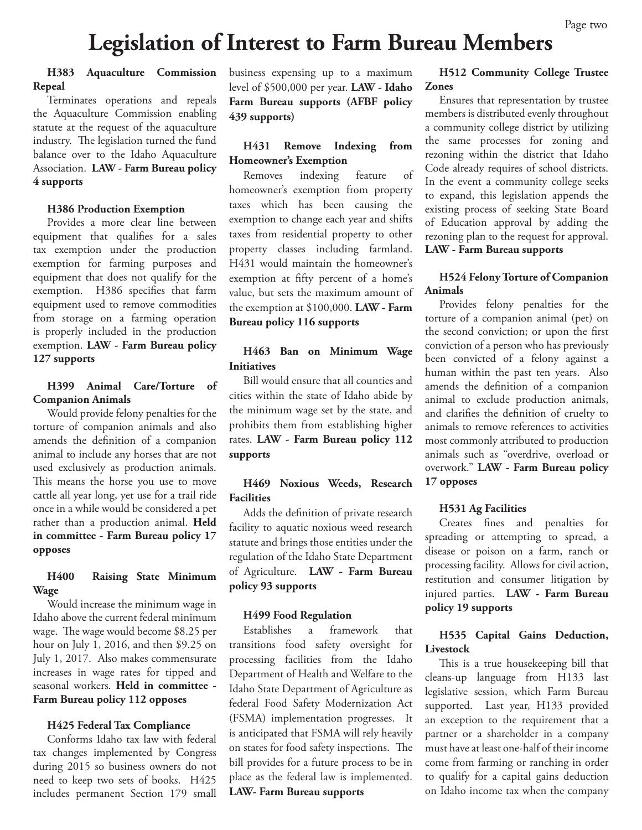# **Legislation of Interest to Farm Bureau Members**

#### **H383 Aquaculture Commission Repeal**

Terminates operations and repeals the Aquaculture Commission enabling statute at the request of the aquaculture industry. The legislation turned the fund balance over to the Idaho Aquaculture Association. **LAW - Farm Bureau policy 4 supports**

#### **H386 Production Exemption**

Provides a more clear line between equipment that qualifies for a sales tax exemption under the production exemption for farming purposes and equipment that does not qualify for the exemption. H386 specifies that farm equipment used to remove commodities from storage on a farming operation is properly included in the production exemption. **LAW - Farm Bureau policy 127 supports**

#### **H399 Animal Care/Torture of Companion Animals**

Would provide felony penalties for the torture of companion animals and also amends the definition of a companion animal to include any horses that are not used exclusively as production animals. This means the horse you use to move cattle all year long, yet use for a trail ride once in a while would be considered a pet rather than a production animal. **Held in committee - Farm Bureau policy 17 opposes**

#### **H400 Raising State Minimum Wage**

Would increase the minimum wage in Idaho above the current federal minimum wage. The wage would become \$8.25 per hour on July 1, 2016, and then \$9.25 on July 1, 2017. Also makes commensurate increases in wage rates for tipped and seasonal workers. **Held in committee - Farm Bureau policy 112 opposes**

#### **H425 Federal Tax Compliance**

Conforms Idaho tax law with federal tax changes implemented by Congress during 2015 so business owners do not need to keep two sets of books. H425 includes permanent Section 179 small business expensing up to a maximum level of \$500,000 per year. **LAW - Idaho Farm Bureau supports (AFBF policy 439 supports)**

#### **H431 Remove Indexing from Homeowner's Exemption**

Removes indexing feature of homeowner's exemption from property taxes which has been causing the exemption to change each year and shifts taxes from residential property to other property classes including farmland. H431 would maintain the homeowner's exemption at fifty percent of a home's value, but sets the maximum amount of the exemption at \$100,000. **LAW - Farm Bureau policy 116 supports**

#### **H463 Ban on Minimum Wage Initiatives**

Bill would ensure that all counties and cities within the state of Idaho abide by the minimum wage set by the state, and prohibits them from establishing higher rates. **LAW - Farm Bureau policy 112 supports**

#### **H469 Noxious Weeds, Research Facilities**

Adds the definition of private research facility to aquatic noxious weed research statute and brings those entities under the regulation of the Idaho State Department of Agriculture. **LAW - Farm Bureau policy 93 supports**

#### **H499 Food Regulation**

Establishes a framework that transitions food safety oversight for processing facilities from the Idaho Department of Health and Welfare to the Idaho State Department of Agriculture as federal Food Safety Modernization Act (FSMA) implementation progresses. It is anticipated that FSMA will rely heavily on states for food safety inspections. The bill provides for a future process to be in place as the federal law is implemented. **LAW- Farm Bureau supports**

#### **H512 Community College Trustee Zones**

Ensures that representation by trustee members is distributed evenly throughout a community college district by utilizing the same processes for zoning and rezoning within the district that Idaho Code already requires of school districts. In the event a community college seeks to expand, this legislation appends the existing process of seeking State Board of Education approval by adding the rezoning plan to the request for approval. **LAW - Farm Bureau supports**

#### **H524 Felony Torture of Companion Animals**

Provides felony penalties for the torture of a companion animal (pet) on the second conviction; or upon the first conviction of a person who has previously been convicted of a felony against a human within the past ten years. Also amends the definition of a companion animal to exclude production animals, and clarifies the definition of cruelty to animals to remove references to activities most commonly attributed to production animals such as "overdrive, overload or overwork." **LAW - Farm Bureau policy 17 opposes**

#### **H531 Ag Facilities**

Creates fines and penalties for spreading or attempting to spread, a disease or poison on a farm, ranch or processing facility. Allows for civil action, restitution and consumer litigation by injured parties. **LAW - Farm Bureau policy 19 supports**

#### **H535 Capital Gains Deduction, Livestock**

This is a true housekeeping bill that cleans-up language from H133 last legislative session, which Farm Bureau supported. Last year, H133 provided an exception to the requirement that a partner or a shareholder in a company must have at least one-half of their income come from farming or ranching in order to qualify for a capital gains deduction on Idaho income tax when the company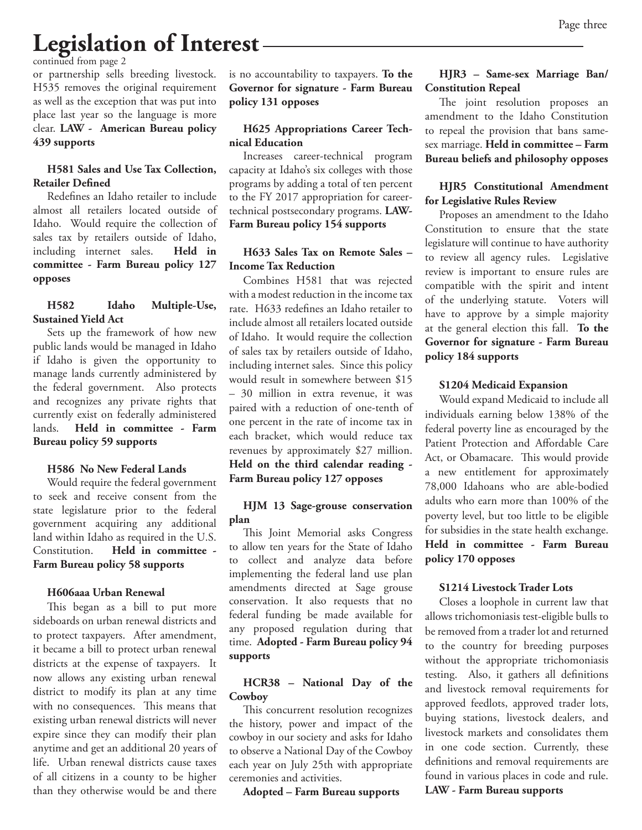# **Legislation of Interest**

continued from page 2

or partnership sells breeding livestock. H535 removes the original requirement as well as the exception that was put into place last year so the language is more clear. **LAW - American Bureau policy 439 supports**

#### **H581 Sales and Use Tax Collection, Retailer Defined**

Redefines an Idaho retailer to include almost all retailers located outside of Idaho. Would require the collection of sales tax by retailers outside of Idaho, including internet sales. **Held in committee - Farm Bureau policy 127 opposes**

#### **H582 Idaho Multiple-Use, Sustained Yield Act**

Sets up the framework of how new public lands would be managed in Idaho if Idaho is given the opportunity to manage lands currently administered by the federal government. Also protects and recognizes any private rights that currently exist on federally administered lands. **Held in committee - Farm Bureau policy 59 supports** 

## **H586 No New Federal Lands**

Would require the federal government to seek and receive consent from the state legislature prior to the federal government acquiring any additional land within Idaho as required in the U.S. Constitution. **Held in committee - Farm Bureau policy 58 supports**

#### **H606aaa Urban Renewal**

This began as a bill to put more sideboards on urban renewal districts and to protect taxpayers. After amendment, it became a bill to protect urban renewal districts at the expense of taxpayers. It now allows any existing urban renewal district to modify its plan at any time with no consequences. This means that existing urban renewal districts will never expire since they can modify their plan anytime and get an additional 20 years of life. Urban renewal districts cause taxes of all citizens in a county to be higher than they otherwise would be and there

is no accountability to taxpayers. **To the Governor for signature - Farm Bureau policy 131 opposes**

## **H625 Appropriations Career Technical Education**

Increases career-technical program capacity at Idaho's six colleges with those programs by adding a total of ten percent to the FY 2017 appropriation for careertechnical postsecondary programs. **LAW-Farm Bureau policy 154 supports**

#### **H633 Sales Tax on Remote Sales – Income Tax Reduction**

Combines H581 that was rejected with a modest reduction in the income tax rate. H633 redefines an Idaho retailer to include almost all retailers located outside of Idaho. It would require the collection of sales tax by retailers outside of Idaho, including internet sales. Since this policy would result in somewhere between \$15 – 30 million in extra revenue, it was paired with a reduction of one-tenth of one percent in the rate of income tax in each bracket, which would reduce tax revenues by approximately \$27 million. **Held on the third calendar reading - Farm Bureau policy 127 opposes** 

#### **HJM 13 Sage-grouse conservation plan**

This Joint Memorial asks Congress to allow ten years for the State of Idaho to collect and analyze data before implementing the federal land use plan amendments directed at Sage grouse conservation. It also requests that no federal funding be made available for any proposed regulation during that time. **Adopted - Farm Bureau policy 94 supports**

# **HCR38 – National Day of the Cowboy**

This concurrent resolution recognizes the history, power and impact of the cowboy in our society and asks for Idaho to observe a National Day of the Cowboy each year on July 25th with appropriate ceremonies and activities.

**Adopted – Farm Bureau supports**

# **HJR3 – Same-sex Marriage Ban/ Constitution Repeal**

The joint resolution proposes an amendment to the Idaho Constitution to repeal the provision that bans samesex marriage. **Held in committee – Farm Bureau beliefs and philosophy opposes** 

### **HJR5 Constitutional Amendment for Legislative Rules Review**

Proposes an amendment to the Idaho Constitution to ensure that the state legislature will continue to have authority to review all agency rules. Legislative review is important to ensure rules are compatible with the spirit and intent of the underlying statute. Voters will have to approve by a simple majority at the general election this fall. **To the Governor for signature - Farm Bureau policy 184 supports**

#### **S1204 Medicaid Expansion**

Would expand Medicaid to include all individuals earning below 138% of the federal poverty line as encouraged by the Patient Protection and Affordable Care Act, or Obamacare. This would provide a new entitlement for approximately 78,000 Idahoans who are able-bodied adults who earn more than 100% of the poverty level, but too little to be eligible for subsidies in the state health exchange. **Held in committee - Farm Bureau policy 170 opposes**

#### **S1214 Livestock Trader Lots**

Closes a loophole in current law that allows trichomoniasis test-eligible bulls to be removed from a trader lot and returned to the country for breeding purposes without the appropriate trichomoniasis testing. Also, it gathers all definitions and livestock removal requirements for approved feedlots, approved trader lots, buying stations, livestock dealers, and livestock markets and consolidates them in one code section. Currently, these definitions and removal requirements are found in various places in code and rule.

**LAW - Farm Bureau supports**